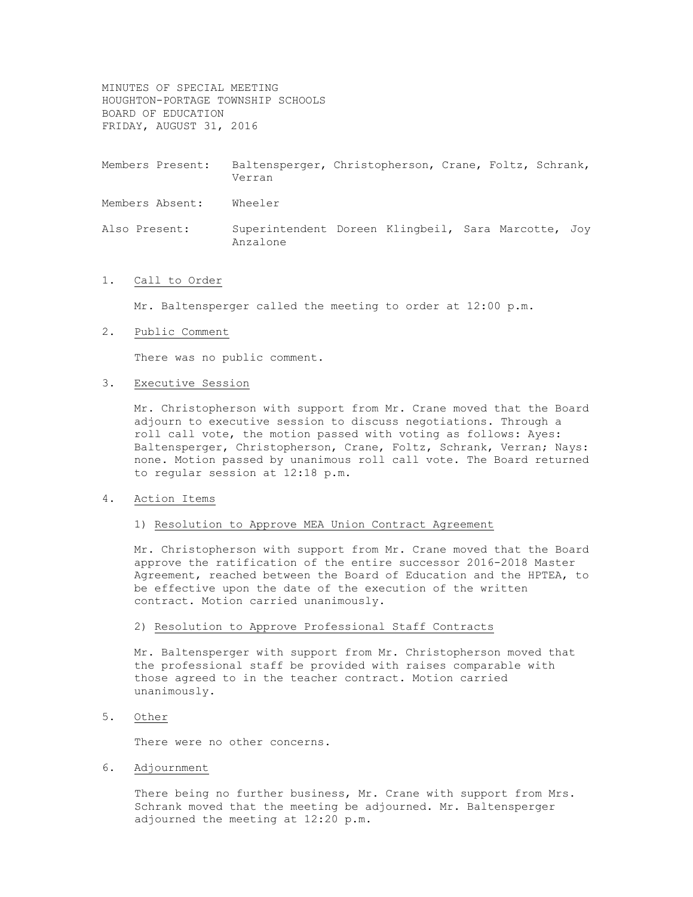MINUTES OF SPECIAL MEETING HOUGHTON-PORTAGE TOWNSHIP SCHOOLS BOARD OF EDUCATION FRIDAY, AUGUST 31, 2016

Members Present: Baltensperger, Christopherson, Crane, Foltz, Schrank, Verran

Members Absent: Wheeler

Also Present: Superintendent Doreen Klingbeil, Sara Marcotte, Joy Anzalone

## 1. Call to Order

Mr. Baltensperger called the meeting to order at 12:00 p.m.

#### 2. Public Comment

There was no public comment.

## 3. Executive Session

Mr. Christopherson with support from Mr. Crane moved that the Board adjourn to executive session to discuss negotiations. Through a roll call vote, the motion passed with voting as follows: Ayes: Baltensperger, Christopherson, Crane, Foltz, Schrank, Verran; Nays: none. Motion passed by unanimous roll call vote. The Board returned to regular session at 12:18 p.m.

### 4. Action Items

# 1) Resolution to Approve MEA Union Contract Agreement

Mr. Christopherson with support from Mr. Crane moved that the Board approve the ratification of the entire successor 2016-2018 Master Agreement, reached between the Board of Education and the HPTEA, to be effective upon the date of the execution of the written contract. Motion carried unanimously.

# 2) Resolution to Approve Professional Staff Contracts

Mr. Baltensperger with support from Mr. Christopherson moved that the professional staff be provided with raises comparable with those agreed to in the teacher contract. Motion carried unanimously.

5. Other

There were no other concerns.

6. Adjournment

There being no further business, Mr. Crane with support from Mrs. Schrank moved that the meeting be adjourned. Mr. Baltensperger adjourned the meeting at 12:20 p.m.